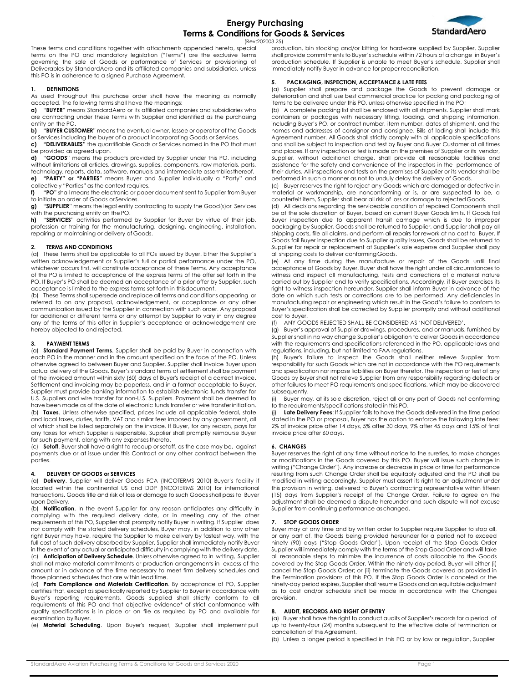## **Energy Purchasing Terms & Conditions for Goods & Services** (Rev:202003.25)



These terms and conditions together with attachments appended hereto, special terms on the PO and mandatory legislation ("Terms") are the exclusive Terms governing the sale of Goods or performance of Services or provisioning of Deliverables by StandardAero and its affiliated companies and subsidiaries, unless

## **1. DEFINITIONS**

As used throughout this purchase order shall have the meaning as normally accepted. The following terms shall have the meanings:

this PO is in adherence to a signed Purchase Agreement.

**a)** "**BUYER**" means StandardAero or its affiliated companies and subsidiaries who are contracting under these Terms with Supplier and identified as the purchasing entity on the PO.

**b)** "**BUYER CUSTOMER**" means the eventual owner, lessee or operator of the Goods

or Services including the buyer of a product incorporating Goods or Services. **c) "DELIVERABLES**" the quantifiable Goods or Services named in the PO that must be provided as agreed upon.

**d)** "**GOODS**" means the products provided by Supplier under this PO, including without limitations all articles, drawings, supplies, components, raw materials, parts, technology, reports, data, software, manuals and intermediate assembliesthereof.

**e) "PARTY" or "PARTIES**" means Buyer and Supplier individually a "Party" and collectively "Parties" as the context requires.

**f)** "**PO**" shall means the electronic or paper document sent to Supplier from Buyer to initiate an order of Goods or Services.

**g)** "**SUPPLIER**" means the legal entity contracting to supply the Good(s)or Services with the purchasing entity on the PO.<br> **h)** "**SERVICES**" activities performed

**h)** "**SERVICES**" activities performed by Supplier for Buyer by virtue of their job, profession or training for the manufacturing, designing, engineering, installation, repairing or maintaining or delivery of Goods.

#### **2. TERMS AND CONDITIONS**

(a) These Terms shall be applicable to all POs issued by Buyer. Either the Supplier's written acknowledgement or Supplier's full or partial performance under the PO, whichever occurs first, will constitute acceptance of these Terms. Any acceptance of the PO is limited to acceptance of the express terms of the offer set forth in the PO. If Buyer's PO shall be deemed an acceptance of a prior offer by Supplier, such acceptance is limited to the express terms set forth in thisdocument.

(b) These Terms shall supersede and replace all terms and conditions appearing or referred to on any proposal, acknowledgement, or acceptance or any other communication issued by the Supplier in connection with such order. Any proposal for additional or different terms or any attempt by Supplier to vary in any degree any of the terms of this offer in Supplier's acceptance or acknowledgement are hereby objected to and rejected.

#### **3. PAYMENT TERMS**

(a) **Standard Payment Terms**. Supplier shall be paid by Buyer in connection with each PO in the manner and in the amount specified on the face of the PO. Unless otherwise agreed to between Buyer and Supplier, Supplier shall Invoice Buyer upon actual delivery of the Goods. Buyer's standard terms of settlement shall be payment of the invoiced amount within sixty (60) days of Buyer's receipt of a correct Invoice. Settlement and invoicing may be paperless, and in a format acceptable to Buyer. Supplier must provide banking information to establish electronic funds transfer for U.S. Suppliers and wire transfer for non-U.S. Suppliers. Payment shall be deemed to have been made as of the date of electronic funds transfer or wire transferinitiation. (b) **Taxes**. Unless otherwise specified, prices include all applicable federal, state and local taxes, duties, tariffs, VAT and similar fees imposed by any government, all of which shall be listed separately on the invoice. If Buyer, for any reason, pays for any taxes for which Supplier is responsible, Supplier shall promptly reimburse Buyer for such payment, along with any expenses thereto.

(c) **Setoff**. Buyer shall have a right to recoup or setoff, as the case may be, against payments due or at issue under this Contract or any other contract between the parties.

## **4. DELIVERY OF GOODS or SERVICES**

(a) **Delivery**. Supplier will deliver Goods FCA (INCOTERMS 2010) Buyer's facility if located within the continental US and DDP (INCOTERMS 2010) for international transactions. Goods title and risk of loss or damage to such Goods shall pass to Buyer upon Delivery.

(b) **Notification**. In the event Supplier for any reason anticipates any difficulty in complying with the required delivery date, or in meeting any of the other requirements of this PO, Supplier shall promptly notify Buyer in writing. If Supplier does not comply with the stated delivery schedules, Buyer may, in addition to any other right Buyer may have, require the Supplier to make delivery by fastest way, with the full cost of such delivery absorbed by Supplier. Supplier shall immediately notify Buyer in the event of any actual or anticipated difficulty in complying with the deliverydate. (c) **Anticipation of Delivery Schedule**. Unless otherwise agreed to in writing, Supplier shall not make material commitments or production arrangements in excess of the

amount or in advance of the time necessary to meet firm delivery schedules and those planned schedules that are within lead time.

(d) **Parts Compliance and Materials Certification**. By acceptance of PO, Supplier certifies that, except as specifically reported by Supplier to Buyer in accordance with Buyer's reporting requirements, Goods supplied shall strictly conform to all requirements of this PO and that objective evidence\* of strict conformance with quality specifications is in place or on file as required by PO and available for examination by Buyer.

(e) **Material Scheduling**. Upon Buyer's request, Supplier shall implement pull

production, bin stocking and/or kitting for hardware supplied by Supplier. Supplier shall provide commitments to Buyer's schedule within 72 hours of a change in Buyer's production schedule. If Supplier is unable to meet Buyer's schedule, Supplier shall immediately notify Buyer in advance for proper reconciliation.

#### **5. PACKAGING, INSPECTION, ACCEPTANCE & LATE FEES**

(a) Supplier shall prepare and package the Goods to prevent damage or deterioration and shall use best commercial practice for packing and packaging of items to be delivered under this PO, unless otherwise specified in the PO;

(b) A complete packing list shall be enclosed with all shipments. Supplier shall mark containers or packages with necessary lifting, loading, and shipping information, including Buyer's PO, or contract number, item number, dates of shipment, and the names and addresses of consignor and consignee. Bills of lading shall include this Agreement number. All Goods shall strictly comply with all applicable specifications and shall be subject to inspection and test by Buyer and Buyer Customer at all times and places. If any inspection or test is made on the premises of Supplier or its vendor, Supplier, without additional charge, shall provide all reasonable facilities and assistance for the safety and convenience of the inspectors in the performance of their duties. All inspections and tests on the premises of Supplier or its vendor shall be performed in such a manner as not to unduly delay the delivery of Goods.

(c) Buyer reserves the right to reject any Goods which are damaged or defective in material or workmanship, are nonconforming or is, or are suspected to be, a counterfeit item, Supplier shall bear all risk of loss or damage to rejectedGoods.

(d) All decisions regarding the serviceable condition of repaired Components shall be at the sole discretion of Buyer, based on current Buyer Goods limits. If Goods fail Buyer inspection due to apparent transit damage which is due to improper packaging by Supplier, Goods shall be returned to Supplier, and Supplier shall pay all shipping costs, file all claims, and perform all repairs for rework at no cost to Buyer. If Goods fail Buyer inspection due to Supplier quality issues, Goods shall be returned to Supplier for repair or replacement at Supplier's sole expense and Supplier shall pay all shipping costs to deliver conformingGoods.

(e) At any time during the manufacture or repair of the Goods until final acceptance of Goods by Buyer, Buyer shall have the right under all circumstances to witness and inspect all manufacturing, tests and corrections of a material nature carried out by Supplier and to verify specifications. Accordingly, if Buyer exercises its right to witness inspection hereunder, Supplier shall inform Buyer in advance of the date on which such tests or corrections are to be performed. Any deficiencies in manufacturing repair or engineering which result in the Good's failure to conform to Buyer's specification shall be corrected by Supplier promptly and without additional cost to Buyer.

(f) ANY GOODS REJECTED SHALL BE CONSIDERED AS 'NOT DELIVERED'.

(g) Buyer's approval of Supplier drawings, procedures, and or manuals, furnished by Supplier shall in no way change Supplier's obligation to deliver Goods in accordance with the requirements and specifications referenced in the PO, applicable laws and regulations, including, but not limited to FAA regulations.

(h) Buyer's failure to inspect the Goods shall neither relieve Supplier from responsibility for such Goods which are not in accordance with the PO requirements and specification nor impose liabilities on Buyer therefor. The inspection or test of any Goods by Buyer shall not relieve Supplier from any responsibility regarding defects or other failures to meet PO requirements and specifications, which may be discovered subsequently.

(i) Buyer may, at its sole discretion, reject all or any part of Goods not conforming to the requirements/specifications stated in this PO.

(j) **Late Delivery Fees**: If Supplier fails to have the Goods delivered in the time period stated in the PO or proposal, Buyer has the option to enforce the following late fees: 2% of invoice price after 14 days, 5% after 30 days, 9% after 45 days and 15% of final invoice price after 60days.

## **6. CHANGES**

Buyer reserves the right at any time without notice to the sureties, to make changes or modifications in the Goods covered by this PO. Buyer will issue such change in writing ("Change Order"). Any increase or decrease in price or time for performance resulting from such Change Order shall be equitably adjusted and the PO shall be modified in writing accordingly. Supplier must assert its right to an adjustment under this provision in writing, delivered to Buyer's contracting representative within fifteen (15) days from Supplier's receipt of the Change Order. Failure to agree on the adjustment shall be deemed a dispute hereunder and such dispute will not excuse Supplier from continuing performance aschanged.

#### **7. STOP GOODS ORDER**

Buyer may at any time and by written order to Supplier require Supplier to stop all, or any part of, the Goods being provided hereunder for a period not to exceed ninety (90) days ("Stop Goods Order"). Upon receipt of the Stop Goods Order Supplier will immediately comply with the terms of the Stop Good Order and will take all reasonable steps to minimize the incurrence of costs allocable to the Goods covered by the Stop Goods Order. Within the ninety-day period, Buyer will either (i) cancel the Stop Goods Order; or (ii) terminate the Goods covered as provided in the Termination provisions of this PO. If the Stop Goods Order is canceled or the ninety-day period expires, Supplier shall resume Goods and an equitable adjustment as to cost and/or schedule shall be made in accordance with the Changes provision.

#### **8. AUDIT, RECORDS AND RIGHT OF ENTRY**

(a) Buyer shall have the right to conduct audits of Supplier's records for a period of up to twenty-four (24) months subsequent to the effective date of termination or cancellation of this Agreement.

(b) Unless a longer period is specified in this PO or by law or regulation, Supplier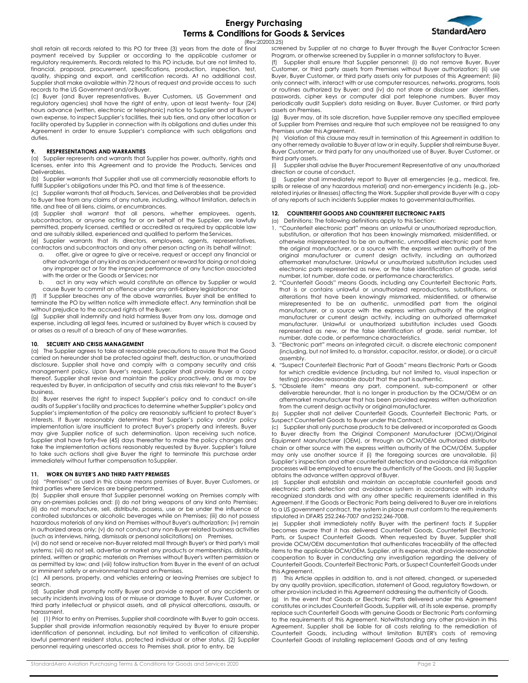

(Rev:202003.25)

shall retain all records related to this PO for three (3) years from the date of final payment received by Supplier or according to the applicable customer or regulatory requirements. Records related to this PO include, but are not limited to, financial, proposal, procurement, specifications, production, inspection, test, quality, shipping and export, and certification records. At no additional cost, Supplier shall make available within 72 hours of request and provide access to such records to the US Government and/or Buyer.

(c) Buyer (and Buyer representatives, Buyer Customers, US Government and regulatory agencies) shall have the right of entry, upon at least twenty- four (24) hours advance (written, electronic or telephonic) notice to Supplier and at Buyer's own expense, to inspect Supplier's facilities, their sub tiers, and any other location or facility operated by Supplier in connection with its obligations and duties under this Agreement in order to ensure Supplier's compliance with such obligations and duties.

## **9. RESPRESENTATIONS AND WARRANTIES**

(a) Supplier represents and warrants that Supplier has power, authority, rights and licenses, enter into this Agreement and to provide the Products, Services and Deliverables.

(b) Supplier warrants that Supplier shall use all commercially reasonable efforts to fulfill Supplier's obligations under this PO, and that time is of theessence.

(c) Supplier warrants that all Products, Services, and Deliverables shall be provided to Buyer free from any claims of any nature, including, without limitation, defects in title, and free of all liens, claims, or encumbrances.

(d) Supplier shall warrant that all persons, whether employees, agents, subcontractors, or anyone acting for or on behalf of the Supplier, are lawfully permitted, properly licensed, certified or accredited as required by applicable law and are suitably skilled, experienced and qualified to perform the Services.

(e) Supplier warrants that its directors, employees, agents, representatives, contractors and subcontractors and any other person acting on its behalf willnot:

- a. offer, give or agree to give or receive, request or accept any financial or other advantage of any kind as an inducement or reward for doing or not doing any improper act or for the improper performance of any function associated with the order or the Goods or Services; nor
- b. act in any way which would constitute an offence by Supplier or would cause Buyer to commit an offence under any anti-bribery legislation;nor

If Supplier breaches any of the above warranties, Buyer shall be entitled to terminate the PO by written notice with immediate effect. Any termination shall be without prejudice to the accrued rights of theBuyer.

(g) Supplier shall indemnify and hold harmless Buyer from any loss, damage and expense, including all legal fees, incurred or sustained by Buyer which is caused by or arises as a result of a breach of any of these warranties.

#### **10. SECURITY AND CRISIS MANAGEMENT**

(a) The Supplier agrees to take all reasonable precautions to assure that the Good carried on hereunder shall be protected against theft, destruction, or unauthorized disclosure. Supplier shall have and comply with a company security and crisis management policy. Upon Buyer's request, Supplier shall provide Buyer a copy thereof. Supplier shall revise and maintain the policy proactively, and as may be requested by Buyer, in anticipation of security and crisis risks relevant to the Buyer's business.

(b) Buyer reserves the right to inspect Supplier's policy and to conduct on-site audits of Supplier's facility and practices to determine whether Supplier's policy and Supplier's implementation of the policy are reasonably sufficient to protect Buyer's interests. If Buyer reasonably determines that Supplier's policy and/or policy implementation is/are insufficient to protect Buyer's property and interests, Buyer may give Supplier notice of such determination. Upon receiving such notice, Supplier shall have forty-five (45) days thereafter to make the policy changes and take the implementation actions reasonably requested by Buyer. Supplier's failure to take such actions shall give Buyer the right to terminate this purchase order immediately without further compensation toSupplier.

#### **11. WORK ON BUYER'S AND THIRD PARTY PREMISES**

(a) "Premises" as used in this clause means premises of Buyer, Buyer Customers, or third parties where Services are beingperformed.

(b) Supplier shall ensure that Supplier personnel working on Premises comply with any on-premises policies and: (i) do not bring weapons of any kind onto Premises; (ii) do not manufacture, sell, distribute, possess, use or be under the influence of controlled substances or alcoholic beverages while on Premises; (iii) do not possess hazardous materials of any kind on Premises without Buyer's authorization; (iv) remain in authorized areas only; (v) do not conduct any non-Buyer related business activities (such as interviews, hiring, dismissals or personal solicitations) on Premises,

(vi) do not send or receive non-Buyer related mail through Buyer's or third party's mail systems; (vii) do not sell, advertise or market any products or memberships, distribute printed, written or graphic materials on Premises without Buyer's written permission or as permitted by law; and (viii) follow instruction from Buyer in the event of an actual or imminent safety or environmental hazard on Premises.

(c) All persons, property, and vehicles entering or leaving Premises are subject to search.

(d) Supplier shall promptly notify Buyer and provide a report of any accidents or security incidents involving loss of or misuse or damage to Buyer, Buyer Customer, or third party intellectual or physical assets, and all physical altercations, assaults, or harassment.

(e) (1) Prior to entry on Premises, Supplier shall coordinate with Buyer to gain access. Supplier shall provide information reasonably required by Buyer to ensure proper identification of personnel, including, but not limited to verification of citizenship, lawful permanent resident status, protected individual or other status. (2) Supplier personnel requiring unescorted access to Premises shall, prior to entry, be

screened by Supplier at no charge to Buyer through the Buyer Contractor Screen Program, or otherwise screened by Supplier in a manner satisfactory to Buyer. (f) Supplier shall ensure that Supplier personnel: (i) do not remove Buyer, Buyer Customer, or third party assets from Premises without Buyer authorization; (ii) use Buyer, Buyer Customer, or third party assets only for purposes of this Agreement; (iii) only connect with, interact with or use computer resources, networks, programs, tools or routines authorized by Buyer; and (iv) do not share or disclose user identifiers, passwords, cipher keys or computer dial port telephone numbers. Buyer may periodically audit Supplier's data residing on Buyer, Buyer Customer, or third party

assets on Premises. (g) Buyer may, at its sole discretion, have Supplier remove any specified employee of Supplier from Premises and require that such employee not be reassigned to any Premises under this Agreement.

(h) Violation of this clause may result in termination of this Agreement in addition to any other remedy available to Buyer at law or in equity. Supplier shall reimburse Buyer, Buyer Customer, or third party for any unauthorized use of Buyer, Buyer Customer, or third party assets.

Supplier shall advise the Buyer Procurement Representative of any unauthorized direction or course of conduct.

Supplier shall immediately report to Buyer all emergencies (e.g., medical, fire, spills or release of any hazardous material) and non-emergency incidents (e.g., jobrelated injuries or illnesses) affecting the Work. Supplier shall provide Buyer with a copy of any reports of such incidents Supplier makes to governmentalauthorities.

## **12. COUNTERFEIT GOODS AND COUNTERFEIT ELECTRONIC PARTS**

(a) Definitions: The following definitions apply to this Section:

- 1. "Counterfeit electronic part" means an unlawful or unauthorized reproduction, substitution, or alteration that has been knowingly mismarked, misidentified, or otherwise misrepresented to be an authentic, unmodified electronic part from the original manufacturer, or a source with the express written authority of the original manufacturer or current design activity, including an authorized aftermarket manufacturer. Unlawful or unauthorized substitution includes used electronic parts represented as new, or the false identification of grade, serial number, lot number, date code, or performance characteristics.
- 2. "Counterfeit Goods" means Goods, including any Counterfeit Electronic Parts, that is or contains unlawful or unauthorized reproductions, substitutions, or alterations that have been knowingly mismarked, misidentified, or otherwise misrepresented to be an authentic, unmodified part from the original manufacturer, or a source with the express written authority of the original manufacturer or current design activity, including an authorized aftermarket manufacturer. Unlawful or unauthorized substitution includes used Goods represented as new, or the false identification of grade, serial number, lot number, date code, or performance characteristics.
- 3. "Electronic part" means an integrated circuit, a discrete electronic component (including, but not limited to, a transistor, capacitor, resistor, or diode), or a circuit assembly.
- 4. "Suspect Counterfeit Electronic Part of Goods" means Electronic Parts or Goods for which credible evidence (including, but not limited to, visual inspection or testing) provides reasonable doubt that the part isauthentic.
- 5. "Obsolete item" means any part, component, sub-component or other deliverable hereunder, that is no longer in production by the OCM/OEM or an aftermarket manufacturer that has been provided express written authorization from the current design activity or original manufacturer.

(b) Supplier shall not deliver Counterfeit Goods, Counterfeit Electronic Parts, or Suspect Counterfeit Goods to Buyer under this Contract.

Supplier shall only purchase products to be delivered or incorporated as Goods to Buyer directly from the Original Component Manufacturer (OCM)/Original Equipment Manufacturer (OEM), or through an OCM/OEM authorized distributor chain or other source with the express written authority of the OCM/OEM. Supplier may only use another source if (i) the foregoing sources are unavailable, (ii) Supplier's inspection and other counterfeit detection and avoidance risk mitigation processes will be employed to ensure the authenticity of the Goods, and (iii) Supplier obtains the advance written approval ofBuyer.

(d) Supplier shall establish and maintain an acceptable counterfeit goods and electronic parts detection and avoidance system in accordance with industry recognized standards and with any other specific requirements identified in this Agreement. If the Goods or Electronic Parts being delivered to Buyer are in relations to a US government contract, the system in place must conform to the requirements stipulated in DFARS 252.246-7007 and 252.246-7008.

(e) Supplier shall immediately notify Buyer with the pertinent facts if Supplier becomes aware that it has delivered Counterfeit Goods, Counterfeit Electronic Parts, or Suspect Counterfeit Goods. When requested by Buyer, Supplier shall provide OCM/OEM documentation that authenticates traceability of the affected items to the applicable OCM/OEM. Supplier, at its expense, shall provide reasonable cooperation to Buyer in conducting any investigation regarding the delivery of Counterfeit Goods, Counterfeit Electronic Parts, or Suspect Counterfeit Goods under this Agreement.

(f) This Article applies in addition to, and is not altered, changed, or superseded by any quality provision, specification, statement of Good, regulatory flowdown, or other provision included in this Agreement addressing the authenticity of Goods.

(g) In the event that Goods or Electronic Parts delivered under this Agreement constitutes or includes Counterfeit Goods, Supplier will, at its sole expense, promptly replace such Counterfeit Goods with genuine Goods or Electronic Parts conforming to the requirements of this Agreement. Notwithstanding any other provision in this Agreement, Supplier shall be liable for all costs relating to the remediation of Counterfeit Goods, including without limitation BUYER's costs of removing Counterfeit Goods of installing replacement Goods and of any testing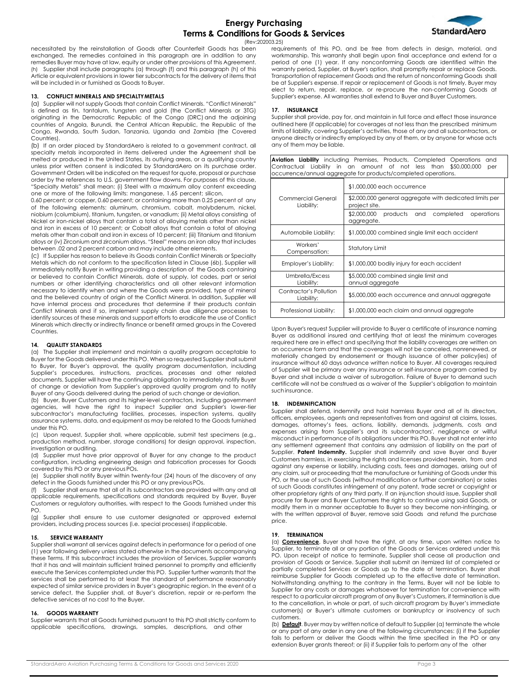

(Rev:202003.25)

necessitated by the reinstallation of Goods after Counterfeit Goods has been exchanged. The remedies contained in this paragraph are in addition to any remedies Buyer may have at law, equity or under other provisions of this Agreement. (h) Supplier shall include paragraphs (a) through (f) and this paragraph (h) of this Article or equivalent provisions in lower tier subcontracts for the delivery of items that will be included in or furnished as Goods to Buyer.

## **13. CONFLICT MINERALS AND SPECIALTYMETALS**

(a) Supplier will not supply Goods that contain Conflict Minerals. "Conflict Minerals" is defined as tin, tantalum, tungsten and gold (the Conflict Minerals or 3TG) originating in the Democratic Republic of the Congo (DRC) and the adjoining countries of Angola, Burundi, the Central African Republic, the Republic of the Congo, Rwanda, South Sudan, Tanzania, Uganda and Zambia (the Covered Countries).

(b) If an order placed by StandardAero is related to a government contract, all specialty metals incorporated in items delivered under the Agreement shall be melted or produced in the United States, its outlying areas, or a qualifying country unless prior written consent is indicated by StandardAero on its purchase order. Government Orders will be indicated on the request for quote, proposal or purchase order by the references to U.S. government flow downs. For purposes of this clause, "Specialty Metals" shall mean: (i) Steel with a maximum alloy content exceeding one or more of the following limits: manganese, 1.65 percent; silicon,

0.60 percent; or copper, 0.60 percent; or containing more than 0.25 percent of any of the following elements: aluminum, chromium, cobalt, molybdenum, nickel, niobium (columbium), titanium, tungsten, or vanadium; (ii) Metal alloys consisting of Nickel or iron-nickel alloys that contain a total of alloying metals other than nickel and iron in excess of 10 percent; or Cobalt alloys that contain a total of alloying metals other than cobalt and iron in excess of 10 percent; (iii) Titanium and titanium alloys or (iv) Zirconium and zirconium alloys. "Steel" means an iron alloy that includes between .02 and 2 percent carbon and may include other elements.

(c) If Supplier has reason to believe its Goods contain Conflict Minerals or Specialty Metals which do not conform to the specification listed in Clause (6b), Supplier will immediately notify Buyer in writing providing a description of the Goods containing or believed to contain Conflict Minerals, date of supply, lot codes, part or serial numbers or other identifying characteristics and all other relevant information necessary to identify when and where the Goods were provided, type of mineral and the believed country of origin of the Conflict Mineral. In addition, Supplier will have internal process and procedures that determine if their products contain Conflict Minerals and if so, implement supply chain due diligence processes to identify sources of these minerals and support efforts to eradicate the use of Conflict Minerals which directly or indirectly finance or benefit armed groups in the Covered Countries.

## **14. QUALITY STANDARDS**

(a) The Supplier shall implement and maintain a quality program acceptable to Buyer for the Goods delivered under this PO. When so requested Supplier shall submit to Buyer, for Buyer's approval, the quality program documentation, including Supplier's procedures, instructions, practices, processes and other related documents. Supplier will have the continuing obligation to immediately notify Buyer of change or deviation from Supplier's approved quality program and to notify Buyer of any Goods delivered during the period of such change or deviation.

(b) Buyer, Buyer Customers and its higher-level contractors, including government agencies, will have the right to inspect Supplier and Supplier's lower-tier subcontractor's manufacturing facilities, processes, inspection systems, quality assurance systems, data, and equipment as may be related to the Goods furnished under this PO.

(c) Upon request, Supplier shall, where applicable, submit test specimens (e.g., production method, number, storage conditions) for design approval, inspection, investigation or auditing.

(d) Supplier must have prior approval of Buyer for any change to the product configuration, including engineering design and fabrication processes for Goods covered by this PO or any previous POs.

(e) Supplier shall notify Buyer within twenty-four (24) hours of the discovery of any defect in the Goods furnished under this PO or any previousPOs.

(f) Supplier shall ensure that all of its subcontractors are provided with any and all applicable requirements, specifications and standards required by Buyer, Buyer Customers or regulatory authorities, with respect to the Goods furnished under this PO.

(g) Supplier shall ensure to use customer designated or approved external providers, including process sources (i.e. special processes) ifapplicable.

## **15. SERVICE WARRANTY**

Supplier shall warrant all services against defects in performance for a period of one (1) year following delivery unless stated otherwise in the documents accompanying these Terms. If this subcontract includes the provision of Services, Supplier warrants that it has and will maintain sufficient trained personnel to promptly and efficiently execute the Services contemplated under this PO. Supplier further warrants that the services shall be performed to at least the standard of performance reasonably expected of similar service providers in Buyer's geographic region. In the event of a service defect, the Supplier shall, at Buyer's discretion, repair or re-perform the defective services at no cost to the Buyer.

## **16. GOODS WARRANTY**

Supplier warrants that all Goods furnished pursuant to this PO shall strictly conform to applicable specifications, drawings, samples, descriptions, and other

requirements of this PO, and be free from defects in design, material, and workmanship. This warranty shall begin upon final acceptance and extend for a period of one (1) year. If any nonconforming Goods are identified within the warranty period, Supplier, at Buyer's option, shall promptly repair or replace Goods. Transportation of replacement Goods and the return of nonconforming Goods shall be at Supplier's expense. If repair or replacement of Goods is not timely, Buyer may elect to return, repair, replace, or re-procure the non-conforming Goods at Supplier's expense. All warranties shall extend to Buyer and Buyer Customers.

## **17. INSURANCE**

Supplier shall provide, pay for, and maintain in full force and effect those insurance outlined here (if applicable) for coverages at not less than the prescribed minimum limits of liability, covering Supplier's activities, those of any and all subcontractors, or anyone directly or indirectly employed by any of them, or by anyone for whose acts any of them may be liable.

**Aviation Liability** including Premises, Products, Completed Operations and Contractual Liability in an amount of not less than \$50,000,000 per occurrence/annual aggregate for products/completed operations.

|                                      | \$1,000,000 each occurrence                                              |
|--------------------------------------|--------------------------------------------------------------------------|
| Commercial General<br>Liability:     | \$2,000,000 general aggregate with dedicated limits per<br>project site. |
|                                      | \$2,000,000<br>products and<br>completed<br>operations<br>aggregate.     |
| Automobile Liability:                | \$1,000,000 combined single limit each accident                          |
| Workers'<br>Compensation:            | Statutory Limit                                                          |
| Employer's Liability:                | \$1,000,000 bodily injury for each accident                              |
| Umbrella/Excess<br>Liability:        | \$5,000,000 combined single limit and<br>annual aggregate                |
| Contractor's Pollution<br>Liability: | \$5,000,000 each occurrence and annual aggregate                         |
| Professional Liability:              | \$1,000,000 each claim and annual aggregate                              |

Upon Buyer's request Supplier will provide to Buyer a certificate of insurance naming Buyer as additional insured and certifying that at least the minimum coverages required here are in effect and specifying that the liability coverages are written on an occurrence form and that the coverages will not be canceled, nonrenewed, or materially changed by endorsement or though issuance of other policy(ies) of insurance without 60 days advance written notice to Buyer. All coverages required of Supplier will be primary over any insurance or self-insurance program carried by Buyer and shall include a waiver of subrogation. Failure of Buyer to demand such certificate will not be construed as a waiver of the Supplier's obligation to maintain suchinsurance.

## **18. INDEMNIFICATION**

Supplier shall defend, indemnify and hold harmless Buyer and all of its directors, officers, employees, agents and representatives from and against all claims, losses, damages, attorney's fees, actions, liability, demands, judgments, costs and expenses arising from Supplier's and its subcontractors', negligence or willful misconduct in performance of its obligations under this PO. Buyer shall not enter into any settlement agreement that contains any admission of liability on the part of Supplier. **Patent Indemnity.** Supplier shall indemnify and save Buyer and Buyer Customers harmless, in exercising the rights and licenses provided herein, from and against any expense or liability, including costs, fees and damages, arising out of any claim, suit or proceeding that the manufacture or furnishing of Goods under this PO, or the use of such Goods (without modification or further combination) or sales of such Goods constitutes infringement of any patent, trade secret or copyright or other proprietary rights of any third party. If an injunction should issue, Supplier shall procure for Buyer and Buyer Customers the rights to continue using said Goods, or modify them in a manner acceptable to Buyer so they become non-infringing, or with the written approval of Buyer, remove said Goods and refund the purchase price.

## **19. TERMINATION**

(a) **Convenience**. Buyer shall have the right, at any time, upon written notice to Supplier, to terminate all or any portion of the Goods or Services ordered under this PO. Upon receipt of notice to terminate, Supplier shall cease all production and provision of Goods or Service. Supplier shall submit an itemized list of completed or partially completed Services or Goods up to the date of termination. Buyer shall reimburse Supplier for Goods completed up to the effective date of termination. Notwithstanding anything to the contrary in the Terms, Buyer will not be liable to Supplier for any costs or damages whatsoever for termination for convenience with respect to a particular aircraft program of any Buyer's Customers, if termination is due to the cancellation, in whole or part, of such aircraft program by Buyer's immediate customer(s) or Buyer's ultimate customers or bankruptcy or insolvency of such customers.

(b) **Default**. Buyer may by written notice of default to Supplier (a) terminate the whole or any part of any order in any one of the following circumstances: (i) if the Supplier fails to perform or deliver the Goods within the time specified in the PO or any extension Buyer grants thereof; or (ii) if Supplier fails to perform any of the other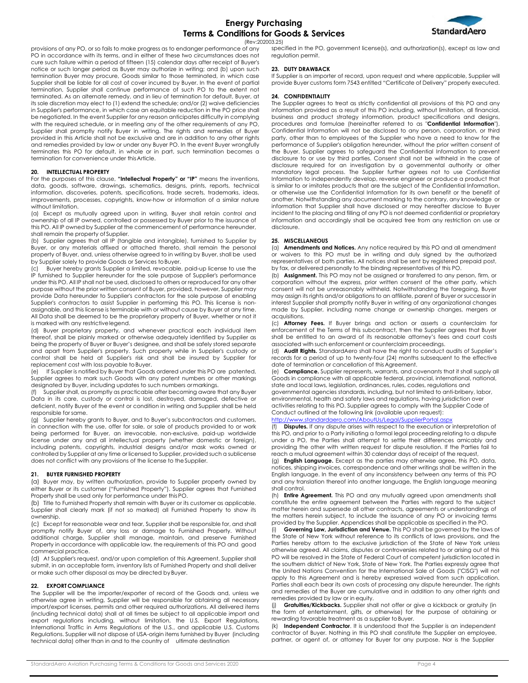

(Rev:202003.25)

provisions of any PO, or so fails to make progress as to endanger performance of any PO in accordance with its terms, and in either of these two circumstances does not cure such failure within a period of fifteen (15) calendar days after receipt of Buyer's notice or such longer period as Buyer may authorize in writing; and (b) upon such termination Buyer may procure, Goods similar to those terminated, in which case Supplier shall be liable for all cost of cover incurred by Buyer. In the event of partial termination, Supplier shall continue performance of such PO to the extent not terminated. As an alternate remedy, and in lieu of termination for default, Buyer, at its sole discretion may elect to (1) extend the schedule; and/or (2) waive deficiencies in Supplier's performance, in which case an equitable reduction in the PO price shall be negotiated. In the event Supplier for any reason anticipates difficulty in complying with the required schedule, or in meeting any of the other requirements of any PO, Supplier shall promptly notify Buyer in writing. The rights and remedies of Buyer provided in this Article shall not be exclusive and are in addition to any other rights and remedies provided by law or under any Buyer PO. In the event Buyer wrongfully terminates this PO for default, in whole or in part, such termination becomes a termination for convenience under thisArticle.

#### **20. INTELLECTUAL PROPERTY**

For the purposes of this clause, **"Intellectual Property" or "IP"** means the inventions, data, goods, software, drawings, schematics, designs, prints, reports, technical information, discoveries, patents, specifications, trade secrets, trademarks, ideas, improvements, processes, copyrights, know-how or information of a similar nature without limitation.

(a) Except as mutually agreed upon in writing, Buyer shall retain control and ownership of all IP owned, controlled or possessed by Buyer prior to the issuance of this PO. All IP owned by Supplier at the commencement of performance hereunder, shall remain the property of Supplier.

(b) Supplier agrees that all IP (tangible and intangible), furnished to Supplier by Buyer, or any materials affixed or attached thereto, shall remain the personal property of Buyer, and, unless otherwise agreed to in writing by Buyer, shall be used by Supplier solely to provide Goods or Services to Buyer.

Buyer hereby grants Supplier a limited, revocable, paid-up license to use the IP furnished to Supplier hereunder for the sole purpose of Supplier's performance under this PO. All IP shall not be used, disclosed to others or reproduced for any other purpose without the prior written consent of Buyer, provided, however, Supplier may provide Data hereunder to Supplier's contractors for the sole purpose of enabling Supplier's contractors to assist Supplier in performing this PO. This license is nonassignable, and this license is terminable with or without cause by Buyer at any time. All Data shall be deemed to be the proprietary property of Buyer, whether or not it is marked with any restrictivelegend.

(d) Buyer proprietary property, and whenever practical each individual item thereof, shall be plainly marked or otherwise adequately identified by Supplier as being the property of Buyer or Buyer's designee, and shall be safely stored separate and apart from Supplier's property. Such property while in Supplier's custody or control shall be held at Supplier's risk and shall be insured by Supplier for replacement cost with loss payable to Buyer.

If Supplier is notified by Buyer that Goods ordered under this PO are patented, Supplier agrees to mark such Goods with any patent numbers or other markings designated by Buyer, including updates to such numbers ormarkings.

Supplier shall, as promptly as practicable after becoming aware that any Buyer Data in its care, custody or control is lost, destroyed, damaged, defective or deficient, notify Buyer of the event or condition in writing and Supplier shall be held responsible for same.

(g) Supplier hereby grants to Buyer, and to Buyer's subcontractors and customers, in connection with the use, offer for sale, or sale of products provided to or work being performed for Buyer, an irrevocable, non-exclusive, paid-up worldwide license under any and all intellectual property (whether domestic or foreign), including patents, copyrights, industrial designs and/or mask works owned or controlled by Supplier at any time or licensed to Supplier, provided such a sublicense does not conflict with any provisions of the license to theSupplier.

#### **21. BUYER FURNISHED PROPERTY**

(a) Buyer may, by written authorization, provide to Supplier property owned by either Buyer or its customer ("Furnished Property"). Supplier agrees that Furnished Property shall be used only for performance under this PO.

(b) Title to Furnished Property shall remain with Buyer or its customer as applicable. Supplier shall clearly mark (if not so marked) all Furnished Property to show its ownership.

(c) Except for reasonable wear and tear, Supplier shall be responsible for, and shall promptly notify Buyer of, any loss or damage to Furnished Property. Without additional charge, Supplier shall manage, maintain, and preserve Furnished Property in accordance with applicable law, the requirements of this PO and good commercial practice.

(d) At Supplier's request, and/or upon completion of this Agreement, Supplier shall submit, in an acceptable form, inventory lists of Furnished Property and shall deliver or make such other disposal as may be directed by Buyer.

## **22. EXPORT COMPLIANCE**

The Supplier will be the importer/exporter of record of the Goods and, unless we otherwise agree in writing, Supplier will be responsible for obtaining all necessary import/export licenses, permits and other required authorizations. All delivered items (including technical data) shall at all times be subject to all applicable import and export regulations including, without limitation, the U.S. Export Regulations, International Traffic in Arms Regulations of the U.S., and applicable U.S. Customs Regulations. Supplier will not dispose of USA-origin items furnished by Buyer (including technical data) other than in and to the country of ultimate destination

specified in the PO, government license(s), and authorization(s), except as law and regulation permit.

## **23. DUTY DRAWBACK**

If Supplier is an importer of record, upon request and where applicable, Supplier will provide Buyer customs form 7543 entitled "Certificate of Delivery" properly executed.

## **24. CONFIDENTIALITY**

The Supplier agrees to treat as strictly confidential all provisions of this PO and any information provided as a result of this PO including, without limitation, all financial, business and product strategy information, product specifications and designs, procedures and formulae (hereinafter referred to as "**Confidential Information**"). Confidential Information will not be disclosed to any person, corporation, or third party, other than to employees of the Supplier who have a need to know for the performance of Supplier's obligation hereunder, without the prior written consent of the Buyer. Supplier agrees to safeguard the Confidential Information to prevent disclosure to or use by third parties. Consent shall not be withheld in the case of disclosure required for an investigation by a governmental authority or other mandatory legal process. The Supplier further agrees not to use Confidential Information to independently develop, reverse engineer or produce a product that is similar to or imitates products that are the subject of the Confidential Information, or otherwise use the Confidential Information for its own benefit or the benefit of another. Notwithstanding any document marking to the contrary, any knowledge or information that Supplier shall have disclosed or may hereafter disclose to Buyer incident to the placing and filling of any PO is not deemed confidential or proprietary information and accordingly shall be acquired free from any restriction on use or disclosure.

## **25. MISCELLANEOUS**

(a) **Amendments and Notices.** Any notice required by this PO and all amendment waivers to this PO must be in writing and duly signed by the authorized representatives of both parties. All notices shall be sent by registered prepaid post, by fax, or delivered personally to the binding representatives of this PO.

(b) **Assignment.** This PO may not be assigned or transferred to any person, firm, or corporation without the express, prior written consent of the other party, which consent will not be unreasonably withheld. Notwithstanding the foregoing, Buyer may assign its rights and/or obligations to an affiliate, parent of Buyer or successor in interest Supplier shall promptly notify Buyer in writing of any organizational changes made by Supplier, including name change or ownership changes, mergers or acquisitions.

(c) **Attorney Fees.** If Buyer brings and action or asserts a counterclaim for enforcement of the Terms of this subcontract, then the Supplier agrees that Buyer shall be entitled to an award of its reasonable attorney's fees and court costs associated with such enforcement or counterclaim proceedings.

(d) **Audit Rights.** StandardAero shall have the right to conduct audits of Supplier's records for a period of up to twenty-four (24) months subsequent to the effective date of termination or cancellation of this Agreement.

(e) **Compliance.** Supplier represents, warrants, and covenants that it shall supply all Goods in compliance with all applicable federal, provincial, international, national, state and local laws, legislation, ordinances, rules, codes, regulations and

governmental agencies standards, including, but not limited to anti-bribery, labor, environmental, health and safety laws and regulations, having jurisdiction over activities relating to this PO. Supplier agrees to comply with the Supplier Code of Conduct outlined at the following link (available upon request):

## <http://www.standardaero.com/AboutUs/Legal/SupplierPortal.aspx>

(f) **Disputes.** If any dispute arises with respect to the execution or interpretation of this PO, and prior to a Party initiating a formal legal proceeding relating to a dispute under a PO, the Parties shall attempt to settle their differences amicably and providing the other with written request for dispute resolution. If the Parties fail to reach a mutual agreement within 30 calendar days of receipt of the request,

(g) **English Language.** Except as the parties may otherwise agree, this PO, data, notices, shipping invoices, correspondence and other writings shall be written in the English language. In the event of any inconsistency between any terms of this PO and any translation thereof into another language, the English language meaning shall control.

(h) **Entire Agreement.** This PO and any mutually agreed upon amendments shall constitute the entire agreement between the Parties with regard to the subject matter herein and supersede all other contracts, agreements or understandings of the matters herein subject, to include the issuance of any PO or invoicing terms provided by the Supplier. Appendices shall be applicable as specified in the PO.

Governing Law, Jurisdiction and Venue. This PO shall be governed by the laws of the State of New York without reference to its conflicts of laws provisions, and the Parties hereby attorn to the exclusive jurisdiction of the State of New York unless otherwise agreed. All claims, disputes or controversies related to or arising out of this PO will be resolved in the State of Federal Court of competent jurisdiction located in the southern district of New York, State of New York. The Parties expressly agree that the United Nations Convention for the International Sale of Goods ("CISG") will not apply to this Agreement and is hereby expressed waived from such application. Parties shall each bear its own costs of processing any dispute hereunder. The rights and remedies of the Buyer are cumulative and in addition to any other rights and remedies provided by law or in equity.

Gratuities/Kickbacks. Supplier shall not offer or give a kickback or gratuity (in the form of entertainment, gifts, or otherwise) for the purpose of obtaining or rewarding favorable treatment as a supplier to Buyer.

(k) **Independent Contractor**. It is understood that the Supplier is an independent contractor of Buyer. Nothing in this PO shall constitute the Supplier an employee, partner, or agent of, or attorney for Buyer for any purpose. Nor is the Supplier